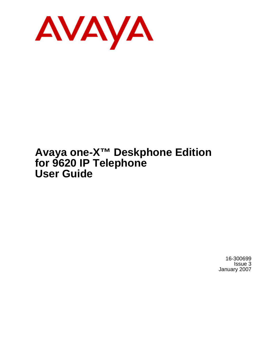

# **Avaya one-X™ Deskphone Edition for 9620 IP Telephone User Guide**

16-300699 Issue 3 January 2007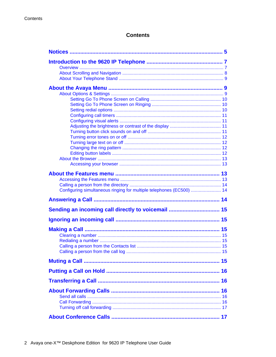## **Contents**

| Configuring simultaneous ringing for multiple telephones (EC500)  14 |  |
|----------------------------------------------------------------------|--|
|                                                                      |  |
| Sending an incoming call directly to voicemail  15                   |  |
|                                                                      |  |
|                                                                      |  |
|                                                                      |  |
|                                                                      |  |
|                                                                      |  |
|                                                                      |  |
|                                                                      |  |
|                                                                      |  |
|                                                                      |  |
|                                                                      |  |
|                                                                      |  |
|                                                                      |  |
|                                                                      |  |
|                                                                      |  |
|                                                                      |  |
|                                                                      |  |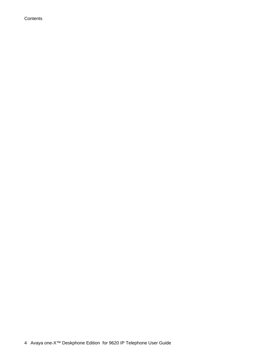**Contents**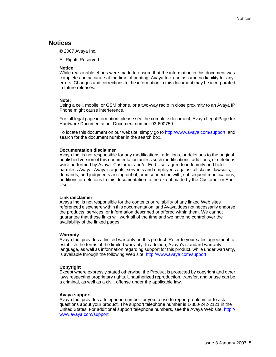## <span id="page-4-0"></span>**Notices**

© 2007 Avaya Inc.

All Rights Reserved.

#### **Notice**

While reasonable efforts were made to ensure that the information in this document was complete and accurate at the time of printing, Avaya Inc. can assume no liability for any errors. Changes and corrections to the information in this document may be incorporated in future releases.

#### **Note:**

Using a cell, mobile, or GSM phone, or a two-way radio in close proximity to an Avaya IP Phone might cause interference.

For full legal page information, please see the complete document, Avaya Legal Page for Hardware Documentation, Document number 03-600759.

To locate this document on our website, simply go to http://www.avaya.com/support and search for the document number in the search box.

#### **Documentation disclaimer**

Avaya Inc. is not responsible for any modifications, additions, or deletions to the original published version of this documentation unless such modifications, additions, or deletions were performed by Avaya. Customer and/or End User agree to indemnify and hold harmless Avaya, Avaya's agents, servants and employees against all claims, lawsuits, demands, and judgments arising out of, or in connection with, subsequent modifications, additions or deletions to this documentation to the extent made by the Customer or End User.

#### **Link disclaimer**

Avaya Inc. is not responsible for the contents or reliability of any linked Web sites referenced elsewhere within this documentation, and Avaya does not necessarily endorse the products, services, or information described or offered within them. We cannot guarantee that these links will work all of the time and we have no control over the availability of the linked pages.

#### **Warranty**

Avaya Inc. provides a limited warranty on this product. Refer to your sales agreement to establish the terms of the limited warranty. In addition, Avaya's standard warranty language, as well as information regarding support for this product, while under warranty, is available through the following Web site: http://www.avaya.com/support

#### **Copyright**

Except where expressly stated otherwise, the Product is protected by copyright and other laws respecting proprietary rights. Unauthorized reproduction, transfer, and or use can be a criminal, as well as a civil, offense under the applicable law.

#### **Avaya support**

Avaya Inc. provides a telephone number for you to use to report problems or to ask questions about your product. The support telephone number is 1-800-242-2121 in the United States. For additional support telephone numbers, see the Avaya Web site: http:// www.avaya.com/support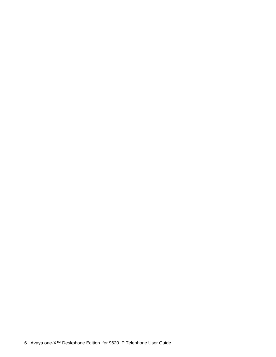6 Avaya one-X™ Deskphone Edition for 9620 IP Telephone User Guide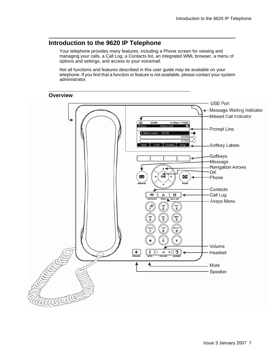## <span id="page-6-0"></span>**Introduction to the 9620 IP Telephone**

Your telephone provides many features, including a Phone screen for viewing and managing your calls, a Call Log, a Contacts list, an integrated WML browser, a menu of options and settings, and access to your voicemail.

Not all functions and features described in this user guide may be available on your telephone. If you find that a function or feature is not available, please contact your system administrator.

#### **Overview**

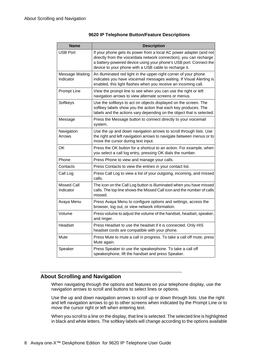<span id="page-7-0"></span>

| <b>Name</b>                     | <b>Description</b>                                                                                                                                                                                                                                                      |
|---------------------------------|-------------------------------------------------------------------------------------------------------------------------------------------------------------------------------------------------------------------------------------------------------------------------|
| <b>USB Port</b>                 | If your phone gets its power from a local AC power adapter (and not<br>directly from the voice/data network connection), you can recharge<br>a battery-powered device using your phone's USB port. Connect the<br>device to your phone with a USB cable to recharge it. |
| Message Waiting<br>Indicator    | An illuminated red light in the upper-right corner of your phone<br>indicates you have voicemail messages waiting. If Visual Alerting is<br>enabled, this light flashes when you receive an incoming call.                                                              |
| Prompt Line                     | View the prompt line to see when you can use the right or left<br>navigation arrows to view alternate screens or menus.                                                                                                                                                 |
| Softkeys                        | Use the softkeys to act on objects displayed on the screen. The<br>softkey labels show you the action that each key produces. The<br>labels and the actions vary depending on the object that is selected.                                                              |
| Message                         | Press the Message button to connect directly to your voicemail<br>system.                                                                                                                                                                                               |
| Navigation<br>Arrows            | Use the up and down navigation arrows to scroll through lists. Use<br>the right and left navigation arrows to navigate between menus or to<br>move the cursor during text input.                                                                                        |
| OK                              | Press the OK button for a shortcut to an action. For example, when<br>you select a call log entry, pressing OK dials the number.                                                                                                                                        |
| Phone                           | Press Phone to view and manage your calls.                                                                                                                                                                                                                              |
| Contacts                        | Press Contacts to view the entries in your contact list.                                                                                                                                                                                                                |
| Call Log                        | Press Call Log to view a list of your outgoing, incoming, and missed<br>calls.                                                                                                                                                                                          |
| <b>Missed Call</b><br>Indicator | The icon on the Call Log button is illuminated when you have missed<br>calls. The top line shows the Missed Call icon and the number of calls<br>missed.                                                                                                                |
| Avaya Menu                      | Press Avaya Menu to configure options and settings, access the<br>browser, log out, or view network information.                                                                                                                                                        |
| Volume                          | Press volume to adjust the volume of the handset, headset, speaker,<br>and ringer.                                                                                                                                                                                      |
| Headset                         | Press Headset to use the headset if it is connected. Only HIS<br>headset cords are compatible with your phone.                                                                                                                                                          |
| Mute                            | Press Mute to mute a call in progress. To take a call off mute, press<br>Mute again.                                                                                                                                                                                    |
| Speaker                         | Press Speaker to use the speakerphone. To take a call off<br>speakerphone, lift the handset and press Speaker.                                                                                                                                                          |

#### **9620 IP Telephone Button/Feature Descriptions**

#### **About Scrolling and Navigation**

When navigating through the options and features on your telephone display, use the navigation arrows to scroll and buttons to select lines or options.

Use the up and down navigation arrows to scroll up or down through lists. Use the right and left navigation arrows to go to other screens when indicated by the Prompt Line or to move the cursor right or left when entering text.

When you scroll to a line on the display, that line is selected. The selected line is highlighted in black and white letters. The softkey labels will change according to the options available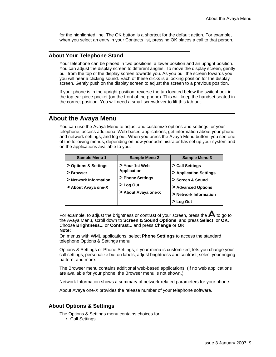<span id="page-8-0"></span>for the highlighted line. The OK button is a shortcut for the default action. For example, when you select an entry in your Contacts list, pressing OK places a call to that person.

#### **About Your Telephone Stand**

Your telephone can be placed in two positions, a lower position and an upright position. You can adjust the display screen to different angles. To move the display screen, gently pull from the top of the display screen towards you. As you pull the screen towards you, you will hear a clicking sound. Each of these clicks is a locking position for the display screen. Gently push on the display screen to adjust the screen to a previous position.

If your phone is in the upright position, reverse the tab located below the switchhook in the top ear piece pocket (on the front of the phone). This will keep the handset seated in the correct position. You will need a small screwdriver to lift this tab out.

## **About the Avaya Menu**

You can use the Avaya Menu to adjust and customize options and settings for your telephone, access additional Web-based applications, get information about your phone and network settings, and log out. When you press the Avaya Menu button, you see one of the following menus, depending on how your administrator has set up your system and on the applications available to you:

| <b>Sample Menu 1</b>                                                              | <b>Sample Menu 2</b>                                                                         | <b>Sample Menu 3</b>                                                                                         |
|-----------------------------------------------------------------------------------|----------------------------------------------------------------------------------------------|--------------------------------------------------------------------------------------------------------------|
| > Options & Settings<br>> Browser<br>> Network Information<br>> About Avaya one-X | > Your 1st Web<br><b>Application</b><br>> Phone Settings<br>> Log Out<br>> About Avaya one-X | > Call Settings<br>> Application Settings<br>> Screen & Sound<br>> Advanced Options<br>> Network Information |
|                                                                                   |                                                                                              | > Log Out                                                                                                    |

For example, to adjust the brightness or contrast of your screen, press the  $\blacktriangle$  to go to the Avaya Menu, scroll down to **Screen & Sound Options**, and press **Select** or **OK**. Choose **Brightness...** or **Contrast...** and press **Change** or **OK**. **Note:**

On menus with WML applications, select **Phone Settings** to access the standard telephone Options & Settings menu.

Options & Settings or Phone Settings, if your menu is customized, lets you change your call settings, personalize button labels, adjust brightness and contrast, select your ringing pattern, and more.

The Browser menu contains additional web-based applications. (If no web applications are available for your phone, the Browser menu is not shown.)

Network Information shows a summary of network-related parameters for your phone.

About Avaya one-X provides the release number of your telephone software.

#### **About Options & Settings**

The Options & Settings menu contains choices for:

• Call Settings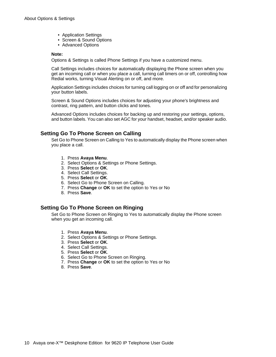- <span id="page-9-0"></span>• Application Settings
- Screen & Sound Options
- Advanced Options

#### **Note:**

Options & Settings is called Phone Settings if you have a customized menu.

Call Settings includes choices for automatically displaying the Phone screen when you get an incoming call or when you place a call, turning call timers on or off, controlling how Redial works, turning Visual Alerting on or off, and more.

Application Settings includes choices for turning call logging on or off and for personalizing your button labels.

Screen & Sound Options includes choices for adjusting your phone's brightness and contrast, ring pattern, and button clicks and tones.

Advanced Options includes choices for backing up and restoring your settings, options, and button labels. You can also set AGC for your handset, headset, and/or speaker audio.

## **Setting Go To Phone Screen on Calling**

Set Go to Phone Screen on Calling to Yes to automatically display the Phone screen when you place a call.

- 1. Press **Avaya Menu**.
- 2. Select Options & Settings or Phone Settings.
- 3. Press **Select** or **OK**.
- 4. Select Call Settings.
- 5. Press **Select** or **OK**.
- 6. Select Go to Phone Screen on Calling.
- 7. Press **Change** or **OK** to set the option to Yes or No
- 8. Press **Save**.

#### **Setting Go To Phone Screen on Ringing**

Set Go to Phone Screen on Ringing to Yes to automatically display the Phone screen when you get an incoming call.

- 1. Press **Avaya Menu**.
- 2. Select Options & Settings or Phone Settings.
- 3. Press **Select** or **OK**.
- 4. Select Call Settings.
- 5. Press **Select** or **OK**.
- 6. Select Go to Phone Screen on Ringing.
- 7. Press **Change** or **OK** to set the option to Yes or No
- 8. Press **Save**.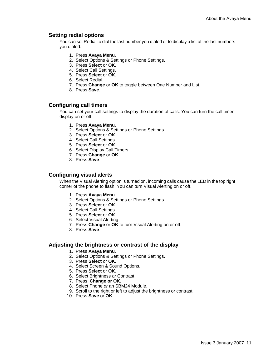#### <span id="page-10-0"></span>**Setting redial options**

You can set Redial to dial the last number you dialed or to display a list of the last numbers you dialed.

- 1. Press **Avaya Menu**.
- 2. Select Options & Settings or Phone Settings.
- 3. Press **Select** or **OK**.
- 4. Select Call Settings.
- 5. Press **Select** or **OK**.
- 6. Select Redial.
- 7. Press **Change** or **OK** to toggle between One Number and List.
- 8. Press **Save**.

#### **Configuring call timers**

You can set your call settings to display the duration of calls. You can turn the call timer display on or off.

- 1. Press **Avaya Menu**.
- 2. Select Options & Settings or Phone Settings.
- 3. Press **Select** or **OK**.
- 4. Select Call Settings.
- 5. Press **Select** or **OK**.
- 6. Select Display Call Timers.
- 7. Press **Change** or **OK**.
- 8. Press **Save**.

#### **Configuring visual alerts**

When the Visual Alerting option is turned on, incoming calls cause the LED in the top right corner of the phone to flash. You can turn Visual Alerting on or off.

- 1. Press **Avaya Menu**.
- 2. Select Options & Settings or Phone Settings.
- 3. Press **Select** or **OK**.
- 4. Select Call Settings.
- 5. Press **Select** or **OK**.
- 6. Select Visual Alerting.
- 7. Press **Change** or **OK** to turn Visual Alerting on or off.
- 8. Press **Save**.

#### **Adjusting the brightness or contrast of the display**

- 1. Press **Avaya Menu**.
- 2. Select Options & Settings or Phone Settings.
- 3. Press **Select** or **OK**.
- 4. Select Screen & Sound Options.
- 5. Press **Select** or **OK**.
- 6. Select Brightness *or* Contrast.
- 7. Press **Change or OK**.
- 8. Select Phone *or* an SBM24 Module.
- 9. Scroll to the right or left to adjust the brightness or contrast.
- 10. Press **Save** or **OK**.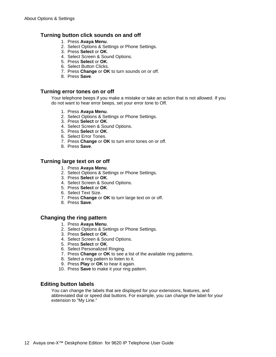## <span id="page-11-0"></span>**Turning button click sounds on and off**

- 1. Press **Avaya Menu**.
- 2. Select Options & Settings or Phone Settings.
- 3. Press **Select** or **OK**.
- 4. Select Screen & Sound Options.
- 5. Press **Select** or **OK**.
- 6. Select Button Clicks.
- 7. Press **Change** or **OK** to turn sounds on or off.
- 8. Press **Save**.

#### **Turning error tones on or off**

Your telephone beeps if you make a mistake or take an action that is not allowed. If you do not want to hear error beeps, set your error tone to Off.

- 1. Press **Avaya Menu**.
- 2. Select Options & Settings or Phone Settings.
- 3. Press **Select** or **OK**.
- 4. Select Screen & Sound Options.
- 5. Press **Select** or **OK**.
- 6. Select Error Tones.
- 7. Press **Change** or **OK** to turn error tones on or off.
- 8. Press **Save**.

#### **Turning large text on or off**

- 1. Press **Avaya Menu**.
- 2. Select Options & Settings or Phone Settings.
- 3. Press **Select** or **OK**.
- 4. Select Screen & Sound Options.
- 5. Press **Select** or **OK**.
- 6. Select Text Size.
- 7. Press **Change** or **OK** to turn large text on or off.
- 8. Press **Save**.

#### **Changing the ring pattern**

- 1. Press **Avaya Menu**.
- 2. Select Options & Settings or Phone Settings.
- 3. Press **Select** or **OK**.
- 4. Select Screen & Sound Options.
- 5. Press **Select** or **OK**.
- 6. Select Personalized Ringing.
- 7. Press **Change** or **OK** to see a list of the available ring patterns.
- 8. Select a ring pattern to listen to it.
- 9. Press **Play** or **OK** to hear it again.
- 10. Press **Save** to make it your ring pattern.

#### **Editing button labels**

You can change the labels that are displayed for your extensions, features, and abbreviated dial or speed dial buttons. For example, you can change the label for your extension to "My Line."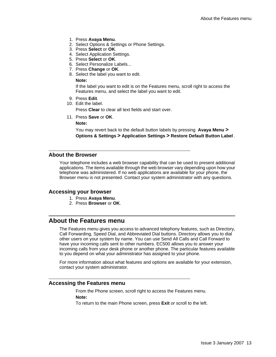- <span id="page-12-0"></span>1. Press **Avaya Menu**.
- 2. Select Options & Settings or Phone Settings.
- 3. Press **Select** or **OK**.
- 4. Select Application Settings.
- 5. Press **Select** or **OK**.
- 6. Select Personalize Labels...
- 7. Press **Change** or **OK**.
- 8. Select the label you want to edit.

#### **Note:**

If the label you want to edit is on the Features menu, scroll right to access the Features menu, and select the label you want to edit.

- 9. Press **Edit**.
- 10. Edit the label.

Press **Clear** to clear all text fields and start over.

11. Press **Save** or **OK**.

#### **Note:**

You may revert back to the default button labels by pressing **Avaya Menu > Options & Settings > Application Settings > Restore Default Button Label** .

#### **About the Browser**

Your telephone includes a web browser capability that can be used to present additional applications. The items available through the web browser vary depending upon how your telephone was administered. If no web applications are available for your phone, the Browser menu is not presented. Contact your system administrator with any questions.

#### **Accessing your browser**

- 1. Press **Avaya Menu**.
- 2. Press **Browser** or **OK**.

## **About the Features menu**

The Features menu gives you access to advanced telephony features, such as Directory, Call Forwarding, Speed Dial, and Abbreviated Dial buttons. Directory allows you to dial other users on your system by name. You can use Send All Calls and Call Forward to have your incoming calls sent to other numbers. EC500 allows you to answer your incoming calls from your desk phone or another phone. The particular features available to you depend on what your administrator has assigned to your phone.

For more information about what features and options are available for your extension, contact your system administrator.

#### **Accessing the Features menu**

From the Phone screen, scroll right to access the Features menu.

#### **Note:**

To return to the main Phone screen, press **Exit** *or* scroll to the left.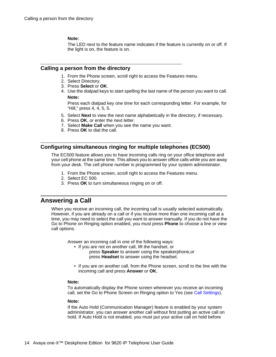#### <span id="page-13-0"></span>**Note:**

The LED next to the feature name indicates if the feature is currently on or off. If the light is on, the feature is on.

#### **Calling a person from the directory**

- 1. From the Phone screen, scroll right to access the Features menu.
- 2. Select Directory.
- 3. Press **Select** or **OK**.
- 4. Use the dialpad keys to start spelling the last name of the person you want to call. **Note:**

Press each dialpad key one time for each corresponding letter. For example, for "Hill," press 4, 4, 5, 5.

- 5. Select **Next** to view the next name alphabetically in the directory, if necessary.
- 6. Press **OK**, *or* enter the next letter.
- 7. Select **Make Call** when you see the name you want.
- 8. Press **OK** to dial the call.

#### **Configuring simultaneous ringing for multiple telephones (EC500)**

The EC500 feature allows you to have incoming calls ring on your office telephone and your cell phone at the same time. This allows you to answer office calls while you are away from your desk. The cell phone number is programmed by your system administrator.

- 1. From the Phone screen, scroll right to access the Features menu.
- 2. Select EC 500.
- 3. Press **OK** to turn simultaneous ringing on or off.

## **Answering a Call**

When you receive an incoming call, the incoming call is usually selected automatically. However, if you are already on a call or if you receive more than one incoming call at a time, you may need to select the call you want to answer manually. If you do not have the Go to Phone on Ringing option enabled, you must press **Phone** to choose a line or view call options.

Answer an incoming call in one of the following ways:

- If you are not on another call, lift the handset, or
	- press **Speaker** to answer using the speakerphone,*or* press **Headset** to answer using the headset.
- If you are on another call, from the Phone screen, scroll to the line with the incoming call and press **Answer** or **OK**,

#### **Note:**

To automatically display the Phone screen whenever you receive an incoming call, set the Go to Phone Screen on Ringing option to Yes (see [Call Settings\)](#page-9-0).

#### **Note:**

If the Auto Hold (Communication Manager) feature is enabled by your system administrator, you can answer another call without first putting an active call on hold. If Auto Hold is not enabled, you must put your active call on hold before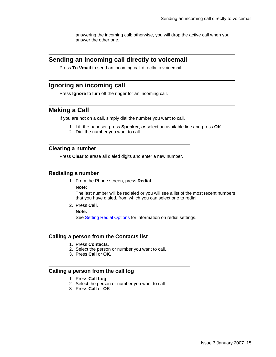answering the incoming call; otherwise, you will drop the active call when you answer the other one.

## <span id="page-14-0"></span>**Sending an incoming call directly to voicemail**

Press **To Vmail** to send an incoming call directly to voicemail.

## **Ignoring an incoming call**

Press **Ignore** to turn off the ringer for an incoming call.

## **Making a Call**

If you are not on a call, simply dial the number you want to call.

- 1. Lift the handset, press **Speaker**, *or* select an available line and press **OK**.
- 2. Dial the number you want to call.

#### **Clearing a number**

Press **Clear** to erase all dialed digits and enter a new number.

#### **Redialing a number**

1. From the Phone screen, press **Redial**.

#### **Note:**

The last number will be redialed or you will see a list of the most recent numbers that you have dialed, from which you can select one to redial.

2. Press **Call**.

#### **Note:**

See [Setting Redial Options](#page-10-0) for information on redial settings.

#### **Calling a person from the Contacts list**

- 1. Press **Contacts**.
- 2. Select the person or number you want to call.
- 3. Press **Call** or **OK**.

#### **Calling a person from the call log**

- 1. Press **Call Log**.
- 2. Select the person or number you want to call.
- 3. Press **Call** or **OK**.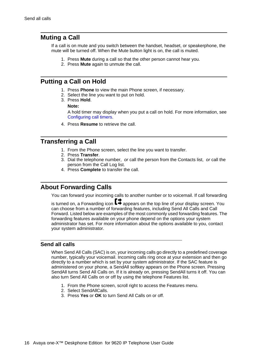## <span id="page-15-0"></span>**Muting a Call**

If a call is on mute and you switch between the handset, headset, or speakerphone, the mute will be turned off. When the Mute button light is on, the call is muted.

- 1. Press **Mute** during a call so that the other person cannot hear you.
- 2. Press **Mute** again to unmute the call.

## **Putting a Call on Hold**

- 1. Press **Phone** to view the main Phone screen, if necessary.
- 2. Select the line you want to put on hold.
- 3. Press **Hold**.

#### **Note:**

A hold timer may display when you put a call on hold. For more information, see [Configuring call timers.](#page-10-0)

4. Press **Resume** to retrieve the call.

## **Transferring a Call**

- 1. From the Phone screen, select the line you want to transfer.
- 2. Press **Transfer**.
- 3. Dial the telephone number, *or* call the person from the Contacts list, *or* call the person from the Call Log list.
- 4. Press **Complete** to transfer the call.

## **About Forwarding Calls**

You can forward your incoming calls to another number or to voicemail. If call forwarding

is turned on, a Forwarding icon  $\Box$  appears on the top line of your display screen. You can choose from a number of forwarding features, including Send All Calls and Call Forward. Listed below are examples of the most commonly used forwarding features. The forwarding features available on your phone depend on the options your system administrator has set. For more information about the options available to you, contact your system administrator.

#### **Send all calls**

When Send All Calls (SAC) is on, your incoming calls go directly to a predefined coverage number, typically your voicemail. Incoming calls ring once at your extension and then go directly to a number which is set by your system administrator. If the SAC feature is administered on your phone, a SendAll softkey appears on the Phone screen. Pressing SendAll turns Send All Calls on. If it is already on, pressing SendAll turns it off. You can also turn Send All Calls on or off by using the telephone Features list.

- 1. From the Phone screen, scroll right to access the Features menu.
- 2. Select SendAllCalls.
- 3. Press **Yes** or **OK** to turn Send All Calls on or off.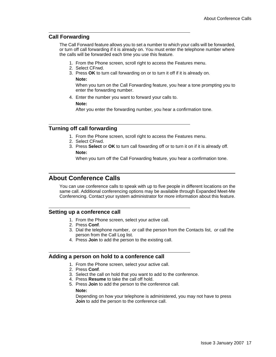### <span id="page-16-0"></span>**Call Forwarding**

The Call Forward feature allows you to set a number to which your calls will be forwarded, or turn off call forwarding if it is already on. You must enter the telephone number where the calls will be forwarded each time you use this feature.

- 1. From the Phone screen, scroll right to access the Features menu.
- 2. Select CFrwd.
- 3. Press **OK** to turn call forwarding on or to turn it off if it is already on. **Note:**

When you turn on the Call Forwarding feature, you hear a tone prompting you to enter the forwarding number.

4. Enter the number you want to forward your calls to.

**Note:**

After you enter the forwarding number, you hear a confirmation tone.

#### **Turning off call forwarding**

- 1. From the Phone screen, scroll right to access the Features menu.
- 2. Select CFrwd.
- 3. Press **Select** or **OK** to turn call fowarding off or to turn it on if it is already off. **Note:**

When you turn off the Call Forwarding feature, you hear a confirmation tone.

## **About Conference Calls**

You can use conference calls to speak with up to five people in different locations on the same call. Additional conferencing options may be available through Expanded Meet-Me Conferencing. Contact your system administrator for more information about this feature.

#### **Setting up a conference call**

- 1. From the Phone screen, select your active call.
- 2. Press **Conf**.
- 3. Dial the telephone number, *or* call the person from the Contacts list, *or* call the person from the Call Log list.
- 4. Press **Join** to add the person to the existing call.

#### **Adding a person on hold to a conference call**

- 1. From the Phone screen, select your active call.
- 2. Press **Conf**.
- 3. Select the call on hold that you want to add to the conference.
- 4. Press **Resume** to take the call off hold.
- 5. Press **Join** to add the person to the conference call.

#### **Note:**

Depending on how your telephone is administered, you may not have to press **Join** to add the person to the conference call.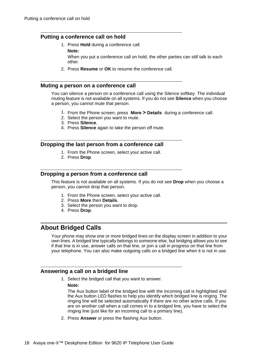#### <span id="page-17-0"></span>**Putting a conference call on hold**

1. Press **Hold** during a conference call.

#### **Note:**

When you put a conference call on hold, the other parties can still talk to each other.

2. Press **Resume** or **OK** to resume the conference call.

#### **Muting a person on a conference call**

You can silence a person on a conference call using the Silence softkey. The individual muting feature is not available on all systems. If you do not see **Silence** when you choose a person, you cannot mute that person.

- 1. From the Phone screen, press **More > Details** during a conference call.
- 2. Select the person you want to mute.
- 3. Press **Silence**.
- 4. Press **Silence** again to take the person off mute.

#### **Dropping the last person from a conference call**

- 1. From the Phone screen, select your active call.
- 2. Press **Drop**.

#### **Dropping a person from a conference call**

This feature is not available on all systems. If you do not see **Drop** when you choose a person, you cannot drop that person.

- 1. From the Phone screen, select your active call.
- 2. Press **More** then **Details**.
- 3. Select the person you want to drop.
- 4. Press **Drop**.

## **About Bridged Calls**

Your phone may show one or more bridged lines on the display screen in addition to your own lines. A bridged line typically belongs to someone else, but bridging allows you to see if that line is in use, answer calls on that line, or join a call in progress on that line from your telephone. You can also make outgoing calls on a bridged line when it is not in use.

#### **Answering a call on a bridged line**

1. Select the bridged call that you want to answer.

#### **Note:**

The Aux button label of the bridged line with the incoming call is highlighted and the Aux button LED flashes to help you identify which bridged line is ringing. The ringing line will be selected automatically if there are no other active calls. If you are on another call when a call comes in to a bridged line, you have to select the ringing line (just like for an incoming call to a primary line).

2. Press **Answer** or press the flashing Aux button.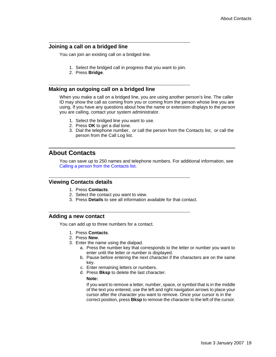#### <span id="page-18-0"></span>**Joining a call on a bridged line**

You can join an existing call on a bridged line.

- 1. Select the bridged call in progress that you want to join.
- 2. Press **Bridge**.

#### **Making an outgoing call on a bridged line**

When you make a call on a bridged line, you are using another person's line. The caller ID may show the call as coming from you or coming from the person whose line you are using. If you have any questions about how the name or extension displays to the person you are calling, contact your system administrator.

- 1. Select the bridged line you want to use.
- 2. Press **OK** to get a dial tone.
- 3. Dial the telephone number, *or* call the person from the Contacts list, *or* call the person from the Call Log list.

## **About Contacts**

You can save up to 250 names and telephone numbers. For additional information, see [Calling a person from the Contacts list.](#page-14-0)

#### **Viewing Contacts details**

- 1. Press **Contacts**.
- 2. Select the contact you want to view.
- 3. Press **Details** to see all information available for that contact.

#### **Adding a new contact**

You can add up to three numbers for a contact.

- 1. Press **Contacts**.
- 2. Press **New**.
- 3. Enter the name using the dialpad.
	- a. Press the number key that corresponds to the letter or number you want to enter until the letter or number is displayed.
	- b. Pause before entering the next character if the characters are on the same key.
	- c. Enter remaining letters or numbers.
	- d. Press **Bksp** to delete the last character.

#### **Note:**

If you want to remove a letter, number, space, or symbol that is in the middle of the text you entered, use the left and right navigation arrows to place your cursor after the character you want to remove. Once your cursor is in the correct position, press **Bksp** to remove the character to the left of the cursor.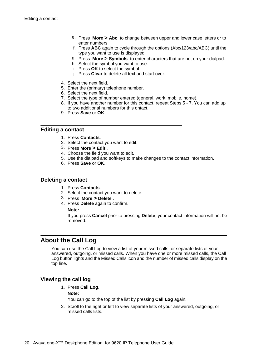- <span id="page-19-0"></span>e. Press **More > Abc** to change between upper and lower case letters or to enter numbers.
- f. Press **ABC** again to cycle through the options (Abc/123/abc/ABC) until the type you want to use is displayed.
- g. Press **More > Symbols** to enter characters that are not on your dialpad.
- h. Select the symbol you want to use.
- i. Press **OK** to select the symbol.
- j. Press **Clear** to delete all text and start over.
- 4. Select the next field.
- 5. Enter the (primary) telephone number.
- 6. Select the next field.
- 7. Select the type of number entered (general, work, mobile, home).
- 8. If you have another number for this contact, repeat Steps 5 7. You can add up to two additional numbers for this ontact.
- 9. Press **Save** or **OK**.

#### **Editing a contact**

- 1. Press **Contacts**.
- 2. Select the contact you want to edit.
- 3. Press **More > Edit** .
- 4. Choose the field you want to edit.
- 5. Use the dialpad and softkeys to make changes to the contact information.
- 6. Press **Save** or **OK**.

#### **Deleting a contact**

- 1. Press **Contacts**.
- 2. Select the contact you want to delete.
- 3. Press **More > Delete** .
- 4. Press **Delete** again to confirm.

#### **Note:**

If you press **Cancel** prior to pressing **Delete**, your contact information will not be removed.

## **About the Call Log**

You can use the Call Log to view a list of your missed calls, or separate lists of your answered, outgoing, or missed calls. When you have one or more missed calls, the Call Log button lights and the Missed Calls icon and the number of missed calls display on the top line.

#### **Viewing the call log**

1. Press **Call Log**.

**Note:**

You can go to the top of the list by pressing **Call Log** again.

2. Scroll to the right or left to view separate lists of your answered, outgoing, or missed calls lists.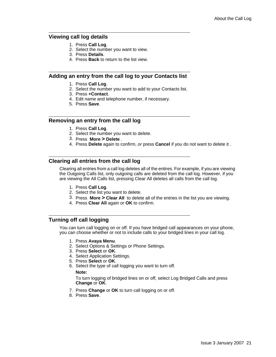#### <span id="page-20-0"></span>**Viewing call log details**

- 1. Press **Call Log**.
- 2. Select the number you want to view.
- 3. Press **Details**.
- 4. Press **Back** to return to the list view.

#### **Adding an entry from the call log to your Contacts list**

- 1. Press **Call Log**.
- 2. Select the number you want to add to your Contacts list.
- 3. Press **+Contact**.
- 4. Edit name and telephone number, if necessary.
- 5. Press **Save**.

#### **Removing an entry from the call log**

- 1. Press **Call Log**.
- 2. Select the number you want to delete.
- 3. Press **More > Delete** .
- 4. Press **Delete** again to confirm, *or* press **Cancel** if you do not want to delete it .

#### **Clearing all entries from the call log**

Clearing all entries from a call log deletes all of the entires. For example, if you are viewing the Outgoing Calls list, only outgoing calls are deleted from the call log. However, if you are viewing the All Calls list, pressing Clear All deletes all calls from the call log.

- 1. Press **Call Log**.
- 2. Select the list you want to delete.
- 3. Press **More > Clear All** to delete all of the entries in the list you are viewing.
- 4. Press **Clear All** again or **OK** to confirm.

#### **Turning off call logging**

You can turn call logging on or off. If you have bridged call appearances on your phone, you can choose whether or not to include calls to your bridged lines in your call log.

- 1. Press **Avaya Menu**.
- 2. Select Options & Settings or Phone Settings.
- 3. Press **Select** or **OK**.
- 4. Select Application Settings.
- 5. Press **Select** or **OK**.
- 6. Select the type of call logging you want to turn off.

#### **Note:**

To turn logging of bridged lines on or off, select Log Bridged Calls and press **Change** or **OK**.

- 7. Press **Change** or **OK** to turn call logging on or off.
- 8. Press **Save**.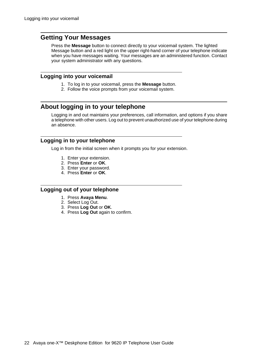## <span id="page-21-0"></span>**Getting Your Messages**

Press the **Message** button to connect directly to your voicemail system. The lighted Message button and a red light on the upper right-hand corner of your telephone indicate when you have messages waiting. Your messages are an administered function. Contact your system administrator with any questions.

#### **Logging into your voicemail**

- 1. To log in to your voicemail, press the **Message** button.
- 2. Follow the voice prompts from your voicemail system.

## **About logging in to your telephone**

Logging in and out maintains your preferences, call information, and options if you share a telephone with other users. Log out to prevent unauthorized use of your telephone during an absence.

#### **Logging in to your telephone**

Log in from the initial screen when it prompts you for your extension.

- 1. Enter your extension.
- 2. Press **Enter** or **OK**.
- 3. Enter your password.
- 4. Press **Enter** or **OK**.

#### **Logging out of your telephone**

- 1. Press **Avaya Menu**.
- 2. Select Log Out.
- 3. Press **Log Out** or **OK**.
- 4. Press **Log Out** again to confirm.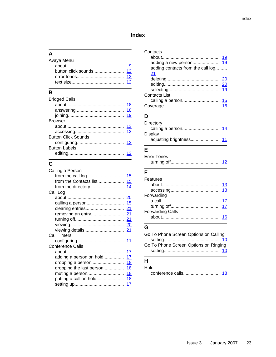## **Index**

## <span id="page-22-0"></span>**A**

| Avaya Menu |  |
|------------|--|
|            |  |
|            |  |
|            |  |
|            |  |
|            |  |

## **B**

| <b>Bridged Calls</b>       |  |
|----------------------------|--|
|                            |  |
|                            |  |
|                            |  |
| <b>Browser</b>             |  |
|                            |  |
|                            |  |
| <b>Button Click Sounds</b> |  |
|                            |  |
| <b>Button Labels</b>       |  |
|                            |  |
|                            |  |

## **C**

| Calling a Person            |  |
|-----------------------------|--|
|                             |  |
|                             |  |
|                             |  |
| Call Log                    |  |
|                             |  |
|                             |  |
|                             |  |
|                             |  |
|                             |  |
|                             |  |
|                             |  |
| <b>Call Timers</b>          |  |
|                             |  |
| <b>Conference Calls</b>     |  |
|                             |  |
| adding a person on hold 17  |  |
|                             |  |
| dropping the last person 18 |  |
|                             |  |
| putting a call on hold 18   |  |
|                             |  |
|                             |  |

| Contacts                          |  |
|-----------------------------------|--|
|                                   |  |
|                                   |  |
| adding contacts from the call log |  |
| 21                                |  |
|                                   |  |
|                                   |  |
|                                   |  |
| <b>Contacts List</b>              |  |
|                                   |  |
|                                   |  |

#### **D**

| Directory            |    |
|----------------------|----|
|                      |    |
| Display              |    |
| adjusting brightness | 11 |

## **E**

| Error Tones |    |
|-------------|----|
|             | 12 |

## **F**

| Features                |  |
|-------------------------|--|
|                         |  |
|                         |  |
| Forwarding              |  |
|                         |  |
|                         |  |
| <b>Forwarding Calls</b> |  |
|                         |  |
|                         |  |

## **G**

```
Go To Phone Screen Options on Calling
   setting............................................ 10
Go To Phone Screen Options on Ringing
   setting............................................ 10
```
## **H**

Hold

conference calls............................. [18](#page-17-0)